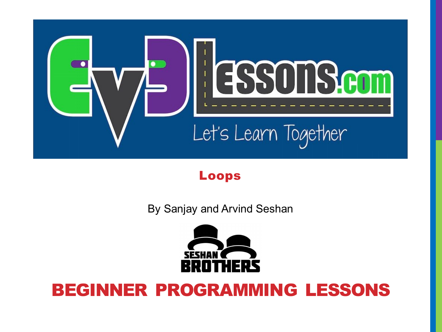

### Loops

By Sanjay and Arvind Seshan



### BEGINNER PROGRAMMING LESSONS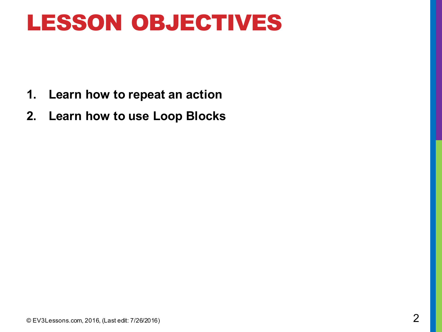### LESSON OBJECTIVES

- **1. Learn how to repeat an action**
- **2. Learn how to use Loop Blocks**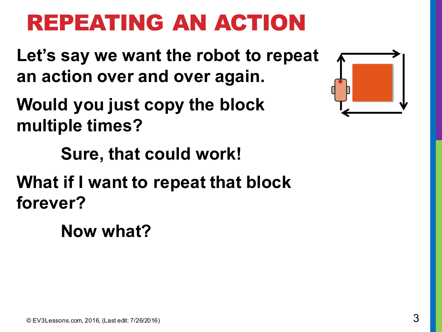# REPEATING AN ACTION

**Let's say we want the robot to repeat an action over and over again.**

**Would you just copy the block multiple times?**

**Sure, that could work!**

**What if I want to repeat that block forever?** 

**Now what?**

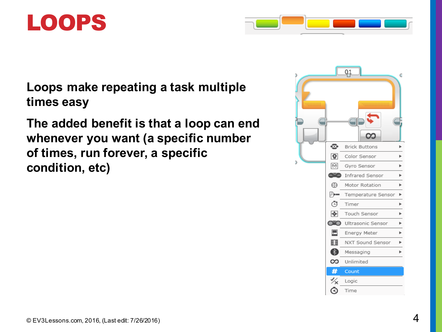



**Loops make repeating a task multiple times easy**

**The added benefit is that a loop can end whenever you want (a specific number of times, run forever, a specific condition, etc)**

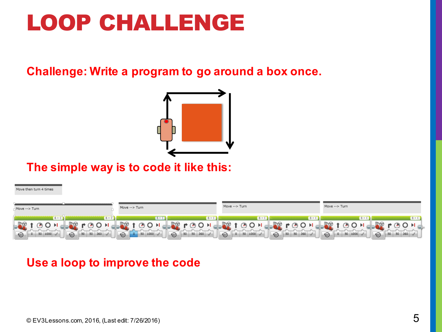### LOOP CHALLENGE

### **Challenge: Write a program to go around a box once.**



#### **The simple way is to code it like this:**

#### Move then turn 4 times



### **Use a loop to improve the code**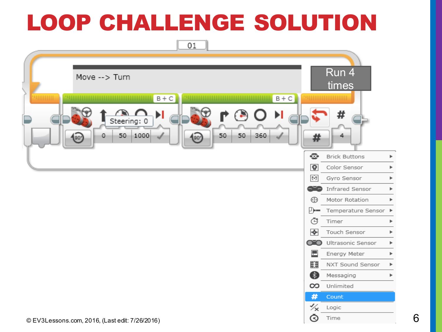## LOOP CHALLENGE SOLUTION